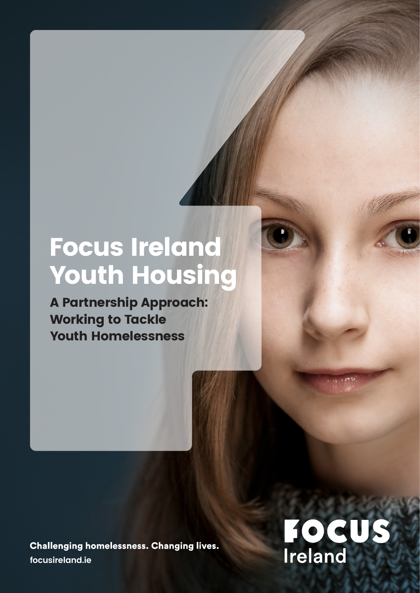## Focus Ireland Youth Housing

A Partnership Approach: Working to Tackle Youth Homelessness

**Challenging homelessness. Changing lives. focusireland.ie**

# **FOCUS**<br>Ireland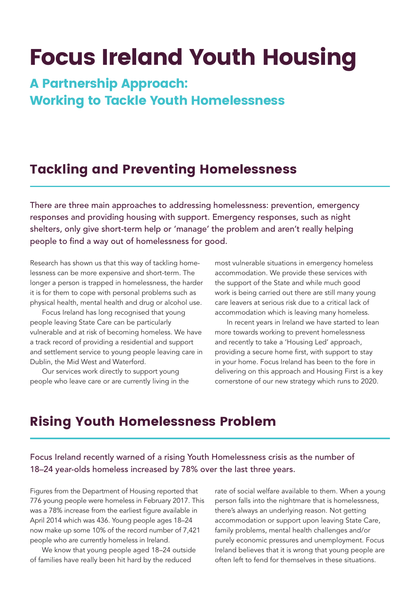## Focus Ireland Youth Housing

#### A Partnership Approach: Working to Tackle Youth Homelessness

#### Tackling and Preventing Homelessness

There are three main approaches to addressing homelessness: prevention, emergency responses and providing housing with support. Emergency responses, such as night shelters, only give short-term help or 'manage' the problem and aren't really helping people to find a way out of homelessness for good.

Research has shown us that this way of tackling homelessness can be more expensive and short-term. The longer a person is trapped in homelessness, the harder it is for them to cope with personal problems such as physical health, mental health and drug or alcohol use.

Focus Ireland has long recognised that young people leaving State Care can be particularly vulnerable and at risk of becoming homeless. We have a track record of providing a residential and support and settlement service to young people leaving care in Dublin, the Mid West and Waterford.

Our services work directly to support young people who leave care or are currently living in the

most vulnerable situations in emergency homeless accommodation. We provide these services with the support of the State and while much good work is being carried out there are still many young care leavers at serious risk due to a critical lack of accommodation which is leaving many homeless.

In recent years in Ireland we have started to lean more towards working to prevent homelessness and recently to take a 'Housing Led' approach, providing a secure home first, with support to stay in your home. Focus Ireland has been to the fore in delivering on this approach and Housing First is a key cornerstone of our new strategy which runs to 2020.

#### Rising Youth Homelessness Problem

Focus Ireland recently warned of a rising Youth Homelessness crisis as the number of 18–24 year-olds homeless increased by 78% over the last three years.

Figures from the Department of Housing reported that 776 young people were homeless in February 2017. This was a 78% increase from the earliest figure available in April 2014 which was 436. Young people ages 18–24 now make up some 10% of the record number of 7,421 people who are currently homeless in Ireland.

We know that young people aged 18–24 outside of families have really been hit hard by the reduced

rate of social welfare available to them. When a young person falls into the nightmare that is homelessness, there's always an underlying reason. Not getting accommodation or support upon leaving State Care, family problems, mental health challenges and/or purely economic pressures and unemployment. Focus Ireland believes that it is wrong that young people are often left to fend for themselves in these situations.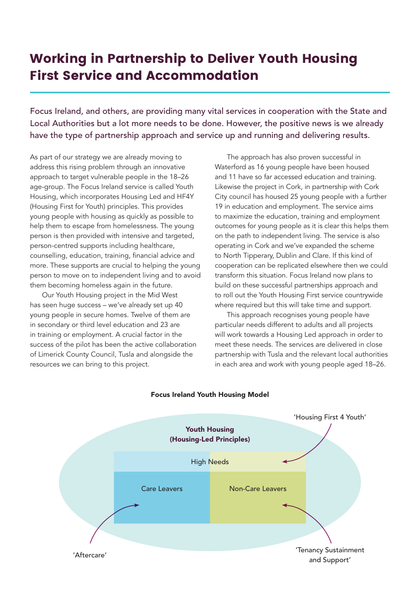#### Working in Partnership to Deliver Youth Housing First Service and Accommodation

Focus Ireland, and others, are providing many vital services in cooperation with the State and Local Authorities but a lot more needs to be done. However, the positive news is we already have the type of partnership approach and service up and running and delivering results.

As part of our strategy we are already moving to address this rising problem through an innovative approach to target vulnerable people in the 18–26 age-group. The Focus Ireland service is called Youth Housing, which incorporates Housing Led and HF4Y (Housing First for Youth) principles. This provides young people with housing as quickly as possible to help them to escape from homelessness. The young person is then provided with intensive and targeted, person-centred supports including healthcare, counselling, education, training, financial advice and more. These supports are crucial to helping the young person to move on to independent living and to avoid them becoming homeless again in the future.

Our Youth Housing project in the Mid West has seen huge success – we've already set up 40 young people in secure homes. Twelve of them are in secondary or third level education and 23 are in training or employment. A crucial factor in the success of the pilot has been the active collaboration of Limerick County Council, Tusla and alongside the resources we can bring to this project.

The approach has also proven successful in Waterford as 16 young people have been housed and 11 have so far accessed education and training. Likewise the project in Cork, in partnership with Cork City council has housed 25 young people with a further 19 in education and employment. The service aims to maximize the education, training and employment outcomes for young people as it is clear this helps them on the path to independent living. The service is also operating in Cork and we've expanded the scheme to North Tipperary, Dublin and Clare. If this kind of cooperation can be replicated elsewhere then we could transform this situation. Focus Ireland now plans to build on these successful partnerships approach and to roll out the Youth Housing First service countrywide where required but this will take time and support.

This approach recognises young people have particular needs different to adults and all projects will work towards a Housing Led approach in order to meet these needs. The services are delivered in close partnership with Tusla and the relevant local authorities in each area and work with young people aged 18–26.



#### Focus Ireland Youth Housing Model